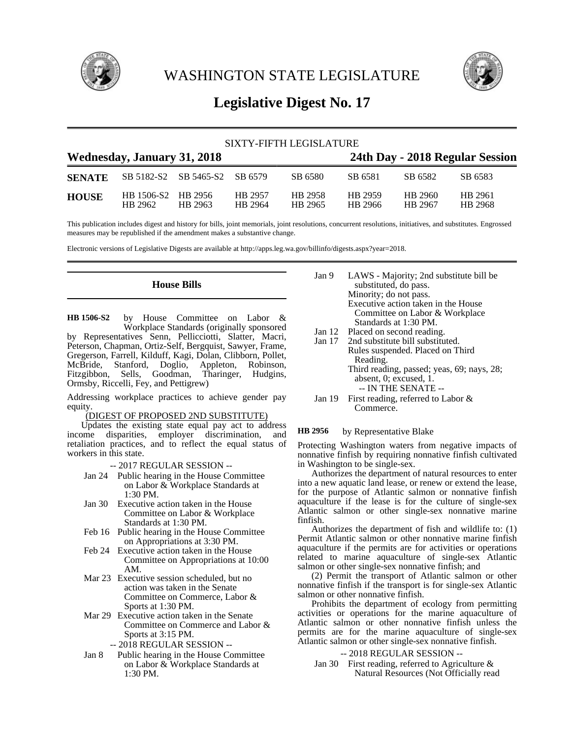

WASHINGTON STATE LEGISLATURE



# **Legislative Digest No. 17**

| SIXTY-FIFTH LEGISLATURE            |                       |                               |                    |                    |                                 |                    |                    |  |
|------------------------------------|-----------------------|-------------------------------|--------------------|--------------------|---------------------------------|--------------------|--------------------|--|
| <b>Wednesday, January 31, 2018</b> |                       |                               |                    |                    | 24th Day - 2018 Regular Session |                    |                    |  |
| <b>SENATE</b>                      |                       | SB 5182-S2 SB 5465-S2 SB 6579 |                    | SB 6580            | SB 6581                         | SB 6582            | SB 6583            |  |
| <b>HOUSE</b>                       | HB 1506-S2<br>HB 2962 | HR 2956<br>HR 2963            | HB 2957<br>HB 2964 | HB 2958<br>HB 2965 | HR 2959<br>HB 2966              | HB 2960<br>HR 2967 | HB 2961<br>HB 2968 |  |

This publication includes digest and history for bills, joint memorials, joint resolutions, concurrent resolutions, initiatives, and substitutes. Engrossed measures may be republished if the amendment makes a substantive change.

Electronic versions of Legislative Digests are available at http://apps.leg.wa.gov/billinfo/digests.aspx?year=2018.

**House Bills**

by House Committee on Labor & Workplace Standards (originally sponsored by Representatives Senn, Pellicciotti, Slatter, Macri, Peterson, Chapman, Ortiz-Self, Bergquist, Sawyer, Frame, Gregerson, Farrell, Kilduff, Kagi, Dolan, Clibborn, Pollet, McBride, Stanford, Doglio, Appleton, Robinson, Fitzgibbon, Sells, Goodman, Tharinger, Hudgins, Ormsby, Riccelli, Fey, and Pettigrew) **HB 1506-S2**

Addressing workplace practices to achieve gender pay equity.

# (DIGEST OF PROPOSED 2ND SUBSTITUTE)

Updates the existing state equal pay act to address income disparities, employer discrimination, and retaliation practices, and to reflect the equal status of workers in this state.

-- 2017 REGULAR SESSION --

- Jan 24 Public hearing in the House Committee on Labor & Workplace Standards at 1:30 PM.
- Jan 30 Executive action taken in the House Committee on Labor & Workplace Standards at 1:30 PM.
- Feb 16 Public hearing in the House Committee on Appropriations at 3:30 PM.
- Feb 24 Executive action taken in the House Committee on Appropriations at 10:00 AM.
- Mar 23 Executive session scheduled, but no action was taken in the Senate Committee on Commerce, Labor & Sports at 1:30 PM.
- Mar 29 Executive action taken in the Senate Committee on Commerce and Labor & Sports at 3:15 PM.
	- -- 2018 REGULAR SESSION --
- Jan 8 Public hearing in the House Committee on Labor & Workplace Standards at 1:30 PM.
- Jan 9 LAWS Majority; 2nd substitute bill be substituted, do pass. Minority; do not pass. Executive action taken in the House Committee on Labor & Workplace Standards at 1:30 PM.
- 
- Jan 12 Placed on second reading.<br>Jan 17 2nd substitute bill substitu 2nd substitute bill substituted. Rules suspended. Placed on Third Reading. Third reading, passed; yeas, 69; nays, 28;
	- absent, 0; excused, 1. -- IN THE SENATE --
- Jan 19 First reading, referred to Labor & Commerce.

### by Representative Blake **HB 2956**

Protecting Washington waters from negative impacts of nonnative finfish by requiring nonnative finfish cultivated in Washington to be single-sex.

Authorizes the department of natural resources to enter into a new aquatic land lease, or renew or extend the lease, for the purpose of Atlantic salmon or nonnative finfish aquaculture if the lease is for the culture of single-sex Atlantic salmon or other single-sex nonnative marine finfish.

Authorizes the department of fish and wildlife to: (1) Permit Atlantic salmon or other nonnative marine finfish aquaculture if the permits are for activities or operations related to marine aquaculture of single-sex Atlantic salmon or other single-sex nonnative finfish; and

(2) Permit the transport of Atlantic salmon or other nonnative finfish if the transport is for single-sex Atlantic salmon or other nonnative finfish.

Prohibits the department of ecology from permitting activities or operations for the marine aquaculture of Atlantic salmon or other nonnative finfish unless the permits are for the marine aquaculture of single-sex Atlantic salmon or other single-sex nonnative finfish.

# -- 2018 REGULAR SESSION --

Jan 30 First reading, referred to Agriculture & Natural Resources (Not Officially read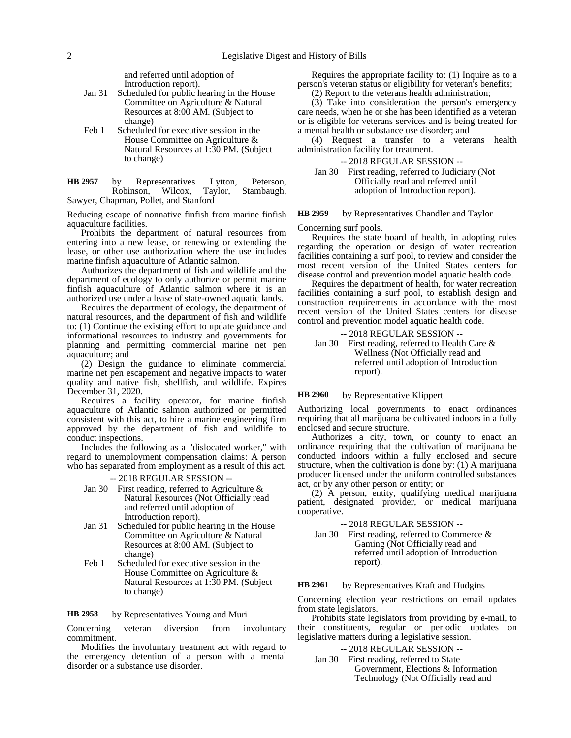and referred until adoption of Introduction report).

- Jan 31 Scheduled for public hearing in the House Committee on Agriculture & Natural Resources at 8:00 AM. (Subject to change)
- Feb 1 Scheduled for executive session in the House Committee on Agriculture & Natural Resources at 1:30 PM. (Subject to change)

by Representatives Lytton, Peterson, Robinson, Wilcox, Taylor, Stambaugh, Sawyer, Chapman, Pollet, and Stanford **HB 2957**

Reducing escape of nonnative finfish from marine finfish aquaculture facilities.

Prohibits the department of natural resources from entering into a new lease, or renewing or extending the lease, or other use authorization where the use includes marine finfish aquaculture of Atlantic salmon.

Authorizes the department of fish and wildlife and the department of ecology to only authorize or permit marine finfish aquaculture of Atlantic salmon where it is an authorized use under a lease of state-owned aquatic lands.

Requires the department of ecology, the department of natural resources, and the department of fish and wildlife to: (1) Continue the existing effort to update guidance and informational resources to industry and governments for planning and permitting commercial marine net pen aquaculture; and

(2) Design the guidance to eliminate commercial marine net pen escapement and negative impacts to water quality and native fish, shellfish, and wildlife. Expires December 31, 2020.

Requires a facility operator, for marine finfish aquaculture of Atlantic salmon authorized or permitted consistent with this act, to hire a marine engineering firm approved by the department of fish and wildlife to conduct inspections.

Includes the following as a "dislocated worker," with regard to unemployment compensation claims: A person who has separated from employment as a result of this act.

-- 2018 REGULAR SESSION --

- Jan 30 First reading, referred to Agriculture & Natural Resources (Not Officially read and referred until adoption of Introduction report).
- Jan 31 Scheduled for public hearing in the House Committee on Agriculture & Natural Resources at 8:00 AM. (Subject to change)
- Feb 1 Scheduled for executive session in the House Committee on Agriculture & Natural Resources at 1:30 PM. (Subject to change)

by Representatives Young and Muri **HB 2958**

Concerning veteran diversion from involuntary commitment.

Modifies the involuntary treatment act with regard to the emergency detention of a person with a mental disorder or a substance use disorder.

Requires the appropriate facility to: (1) Inquire as to a person's veteran status or eligibility for veteran's benefits;

(2) Report to the veterans health administration;

(3) Take into consideration the person's emergency care needs, when he or she has been identified as a veteran or is eligible for veterans services and is being treated for a mental health or substance use disorder; and

(4) Request a transfer to a veterans health administration facility for treatment.

-- 2018 REGULAR SESSION --

Jan 30 First reading, referred to Judiciary (Not Officially read and referred until adoption of Introduction report).

### by Representatives Chandler and Taylor **HB 2959**

Concerning surf pools.

Requires the state board of health, in adopting rules regarding the operation or design of water recreation facilities containing a surf pool, to review and consider the most recent version of the United States centers for disease control and prevention model aquatic health code.

Requires the department of health, for water recreation facilities containing a surf pool, to establish design and construction requirements in accordance with the most recent version of the United States centers for disease control and prevention model aquatic health code.

-- 2018 REGULAR SESSION -- Jan 30 First reading, referred to Health Care & Wellness (Not Officially read and referred until adoption of Introduction report).

### by Representative Klippert **HB 2960**

Authorizing local governments to enact ordinances requiring that all marijuana be cultivated indoors in a fully enclosed and secure structure.

Authorizes a city, town, or county to enact an ordinance requiring that the cultivation of marijuana be conducted indoors within a fully enclosed and secure structure, when the cultivation is done by: (1) A marijuana producer licensed under the uniform controlled substances act, or by any other person or entity; or

(2) A person, entity, qualifying medical marijuana patient, designated provider, or medical marijuana cooperative.

-- 2018 REGULAR SESSION --

Jan 30 First reading, referred to Commerce & Gaming (Not Officially read and referred until adoption of Introduction report).

#### by Representatives Kraft and Hudgins **HB 2961**

Concerning election year restrictions on email updates from state legislators.

Prohibits state legislators from providing by e-mail, to their constituents, regular or periodic updates on legislative matters during a legislative session.

-- 2018 REGULAR SESSION --

Jan 30 First reading, referred to State Government, Elections & Information Technology (Not Officially read and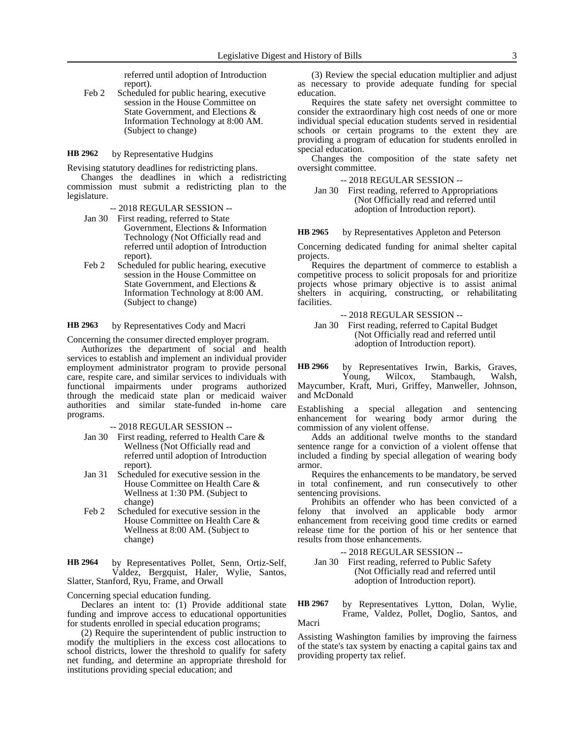referred until adoption of Introduction report).

Feb 2 Scheduled for public hearing, executive session in the House Committee on State Government, and Elections & Information Technology at 8:00 AM. (Subject to change)

by Representative Hudgins **HB 2962**

Revising statutory deadlines for redistricting plans.

Changes the deadlines in which a redistricting commission must submit a redistricting plan to the legislature.

-- 2018 REGULAR SESSION --

- Jan 30 First reading, referred to State Government, Elections & Information Technology (Not Officially read and referred until adoption of Introduction report).
- Feb 2 Scheduled for public hearing, executive session in the House Committee on State Government, and Elections & Information Technology at 8:00 AM. (Subject to change)

by Representatives Cody and Macri **HB 2963**

Concerning the consumer directed employer program.

Authorizes the department of social and health services to establish and implement an individual provider employment administrator program to provide personal care, respite care, and similar services to individuals with functional impairments under programs authorized through the medicaid state plan or medicaid waiver authorities and similar state-funded in-home care programs.

-- 2018 REGULAR SESSION --

- Jan 30 First reading, referred to Health Care & Wellness (Not Officially read and referred until adoption of Introduction report).
- Jan 31 Scheduled for executive session in the House Committee on Health Care & Wellness at 1:30 PM. (Subject to change)
- Feb 2 Scheduled for executive session in the House Committee on Health Care & Wellness at 8:00 AM. (Subject to change)

by Representatives Pollet, Senn, Ortiz-Self, Valdez, Bergquist, Haler, Wylie, Santos, Slatter, Stanford, Ryu, Frame, and Orwall **HB 2964**

Concerning special education funding.

Declares an intent to: (1) Provide additional state funding and improve access to educational opportunities for students enrolled in special education programs;

(2) Require the superintendent of public instruction to modify the multipliers in the excess cost allocations to school districts, lower the threshold to qualify for safety net funding, and determine an appropriate threshold for institutions providing special education; and

(3) Review the special education multiplier and adjust as necessary to provide adequate funding for special education.

Requires the state safety net oversight committee to consider the extraordinary high cost needs of one or more individual special education students served in residential schools or certain programs to the extent they are providing a program of education for students enrolled in special education.

Changes the composition of the state safety net oversight committee.

-- 2018 REGULAR SESSION --

Jan 30 First reading, referred to Appropriations (Not Officially read and referred until adoption of Introduction report).

by Representatives Appleton and Peterson **HB 2965**

Concerning dedicated funding for animal shelter capital projects.

Requires the department of commerce to establish a competitive process to solicit proposals for and prioritize projects whose primary objective is to assist animal shelters in acquiring, constructing, or rehabilitating facilities.

-- 2018 REGULAR SESSION --

Jan 30 First reading, referred to Capital Budget (Not Officially read and referred until adoption of Introduction report).

by Representatives Irwin, Barkis, Graves, Young, Wilcox, Stambaugh, Walsh, Maycumber, Kraft, Muri, Griffey, Manweller, Johnson, and McDonald **HB 2966**

Establishing a special allegation and sentencing enhancement for wearing body armor during the commission of any violent offense.

Adds an additional twelve months to the standard sentence range for a conviction of a violent offense that included a finding by special allegation of wearing body armor.

Requires the enhancements to be mandatory, be served in total confinement, and run consecutively to other sentencing provisions.

Prohibits an offender who has been convicted of a felony that involved an applicable body armor enhancement from receiving good time credits or earned release time for the portion of his or her sentence that results from those enhancements.

-- 2018 REGULAR SESSION --

Jan 30 First reading, referred to Public Safety (Not Officially read and referred until adoption of Introduction report).

### by Representatives Lytton, Dolan, Wylie, Frame, Valdez, Pollet, Doglio, Santos, and **HB 2967**

Macri

Assisting Washington families by improving the fairness of the state's tax system by enacting a capital gains tax and providing property tax relief.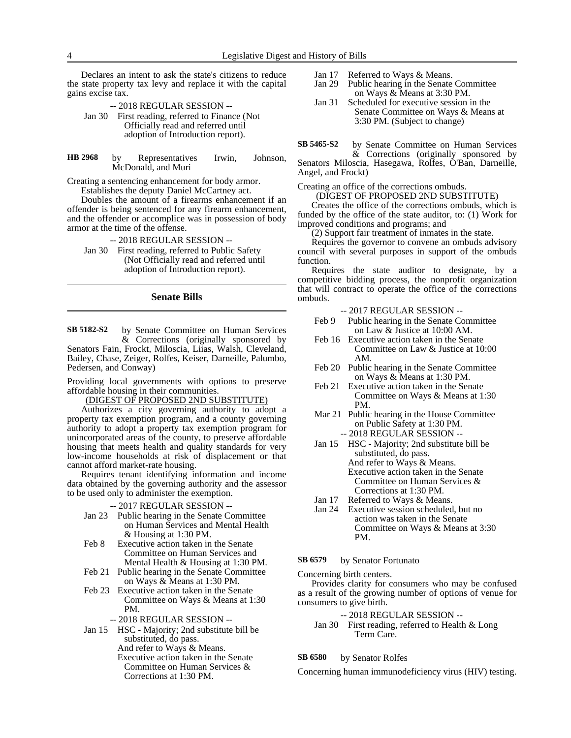Declares an intent to ask the state's citizens to reduce the state property tax levy and replace it with the capital gains excise tax.

-- 2018 REGULAR SESSION -- Jan 30 First reading, referred to Finance (Not Officially read and referred until adoption of Introduction report).

by Representatives Irwin, Johnson, McDonald, and Muri **HB 2968**

Creating a sentencing enhancement for body armor. Establishes the deputy Daniel McCartney act.

Doubles the amount of a firearms enhancement if an offender is being sentenced for any firearm enhancement, and the offender or accomplice was in possession of body armor at the time of the offense.

-- 2018 REGULAR SESSION --

Jan 30 First reading, referred to Public Safety (Not Officially read and referred until adoption of Introduction report).

# **Senate Bills**

by Senate Committee on Human Services & Corrections (originally sponsored by Senators Fain, Frockt, Miloscia, Liias, Walsh, Cleveland, Bailey, Chase, Zeiger, Rolfes, Keiser, Darneille, Palumbo, Pedersen, and Conway) **SB 5182-S2**

Providing local governments with options to preserve affordable housing in their communities.

(DIGEST OF PROPOSED 2ND SUBSTITUTE)

Authorizes a city governing authority to adopt a property tax exemption program, and a county governing authority to adopt a property tax exemption program for unincorporated areas of the county, to preserve affordable housing that meets health and quality standards for very low-income households at risk of displacement or that cannot afford market-rate housing.

Requires tenant identifying information and income data obtained by the governing authority and the assessor to be used only to administer the exemption.

## -- 2017 REGULAR SESSION --

- Jan 23 Public hearing in the Senate Committee on Human Services and Mental Health & Housing at 1:30 PM.
- Feb 8 Executive action taken in the Senate Committee on Human Services and Mental Health & Housing at 1:30 PM.
- Feb 21 Public hearing in the Senate Committee on Ways & Means at 1:30 PM.
- Feb 23 Executive action taken in the Senate Committee on Ways & Means at 1:30 PM.
	- -- 2018 REGULAR SESSION --

Jan 15 HSC - Majority; 2nd substitute bill be substituted, do pass. And refer to Ways & Means. Executive action taken in the Senate Committee on Human Services & Corrections at 1:30 PM.

- Jan 17 Referred to Ways & Means.
- Jan 29 Public hearing in the Senate Committee on Ways & Means at 3:30 PM.
- Jan 31 Scheduled for executive session in the Senate Committee on Ways & Means at 3:30 PM. (Subject to change)

by Senate Committee on Human Services **SB 5465-S2**

& Corrections (originally sponsored by Senators Miloscia, Hasegawa, Rolfes, O'Ban, Darneille, Angel, and Frockt)

Creating an office of the corrections ombuds.

(DIGEST OF PROPOSED 2ND SUBSTITUTE)

Creates the office of the corrections ombuds, which is funded by the office of the state auditor, to: (1) Work for improved conditions and programs; and

(2) Support fair treatment of inmates in the state.

Requires the governor to convene an ombuds advisory council with several purposes in support of the ombuds function.

Requires the state auditor to designate, by a competitive bidding process, the nonprofit organization that will contract to operate the office of the corrections ombuds.

-- 2017 REGULAR SESSION --

- Feb 9 Public hearing in the Senate Committee on Law & Justice at 10:00 AM.
- Feb 16 Executive action taken in the Senate Committee on Law & Justice at 10:00 AM.
- Feb 20 Public hearing in the Senate Committee on Ways & Means at 1:30 PM.
- Feb 21 Executive action taken in the Senate Committee on Ways & Means at 1:30 PM.
- Mar 21 Public hearing in the House Committee on Public Safety at 1:30 PM. -- 2018 REGULAR SESSION --
- Jan 15 HSC Majority; 2nd substitute bill be substituted, do pass. And refer to Ways & Means. Executive action taken in the Senate Committee on Human Services & Corrections at 1:30 PM.
- Jan 17 Referred to Ways & Means.
- Jan 24 Executive session scheduled, but no action was taken in the Senate Committee on Ways & Means at 3:30 PM.

### by Senator Fortunato **SB 6579**

Concerning birth centers.

Provides clarity for consumers who may be confused as a result of the growing number of options of venue for consumers to give birth.

# -- 2018 REGULAR SESSION --

Jan 30 First reading, referred to Health & Long Term Care.

### by Senator Rolfes **SB 6580**

Concerning human immunodeficiency virus (HIV) testing.